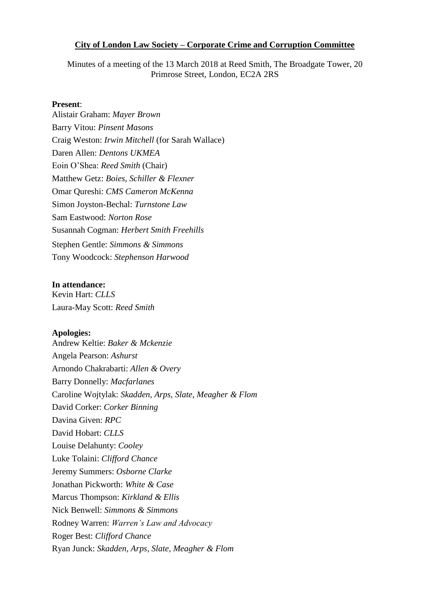#### **City of London Law Society – Corporate Crime and Corruption Committee**

Minutes of a meeting of the 13 March 2018 at Reed Smith, The Broadgate Tower, 20 Primrose Street, London, EC2A 2RS

#### **Present**:

Alistair Graham: *Mayer Brown* Barry Vitou: *Pinsent Masons* Craig Weston: *Irwin Mitchell* (for Sarah Wallace) Daren Allen: *Dentons UKMEA*  Eoin O'Shea: *Reed Smith* (Chair) Matthew Getz: *Boies, Schiller & Flexner* Omar Qureshi: *CMS Cameron McKenna* Simon Joyston-Bechal: *Turnstone Law* Sam Eastwood: *Norton Rose* Susannah Cogman: *Herbert Smith Freehills*  Stephen Gentle: *Simmons & Simmons*  Tony Woodcock: *Stephenson Harwood* 

#### **In attendance:**

Kevin Hart: *CLLS*  Laura-May Scott: *Reed Smith*

#### **Apologies:**

Andrew Keltie: *Baker & Mckenzie* Angela Pearson: *Ashurst* Arnondo Chakrabarti: *Allen & Overy* Barry Donnelly: *Macfarlanes* Caroline Wojtylak: *Skadden, Arps, Slate, Meagher & Flom* David Corker: *Corker Binning* Davina Given: *RPC* David Hobart: *CLLS* Louise Delahunty: *Cooley* Luke Tolaini: *Clifford Chance* Jeremy Summers: *Osborne Clarke* Jonathan Pickworth: *White & Case* Marcus Thompson: *Kirkland & Ellis*  Nick Benwell: *Simmons & Simmons* Rodney Warren: *Warren's Law and Advocacy*  Roger Best: *Clifford Chance*  Ryan Junck: *Skadden, Arps, Slate, Meagher & Flom*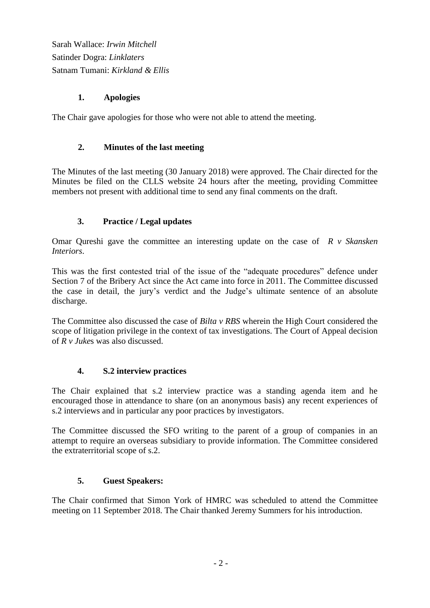Sarah Wallace: *Irwin Mitchell* Satinder Dogra: *Linklaters* Satnam Tumani: *Kirkland & Ellis*

## **1. Apologies**

The Chair gave apologies for those who were not able to attend the meeting.

## **2. Minutes of the last meeting**

The Minutes of the last meeting (30 January 2018) were approved. The Chair directed for the Minutes be filed on the CLLS website 24 hours after the meeting, providing Committee members not present with additional time to send any final comments on the draft.

## **3. Practice / Legal updates**

Omar Qureshi gave the committee an interesting update on the case of *R v Skansken Interiors*.

This was the first contested trial of the issue of the "adequate procedures" defence under Section 7 of the Bribery Act since the Act came into force in 2011. The Committee discussed the case in detail, the jury's verdict and the Judge's ultimate sentence of an absolute discharge.

The Committee also discussed the case of *Bilta v RBS* wherein the High Court considered the scope of litigation privilege in the context of tax investigations. The Court of Appeal decision of *R v Juke*s was also discussed.

### **4. S.2 interview practices**

The Chair explained that s.2 interview practice was a standing agenda item and he encouraged those in attendance to share (on an anonymous basis) any recent experiences of s.2 interviews and in particular any poor practices by investigators.

The Committee discussed the SFO writing to the parent of a group of companies in an attempt to require an overseas subsidiary to provide information. The Committee considered the extraterritorial scope of s.2.

# **5. Guest Speakers:**

The Chair confirmed that Simon York of HMRC was scheduled to attend the Committee meeting on 11 September 2018. The Chair thanked Jeremy Summers for his introduction.